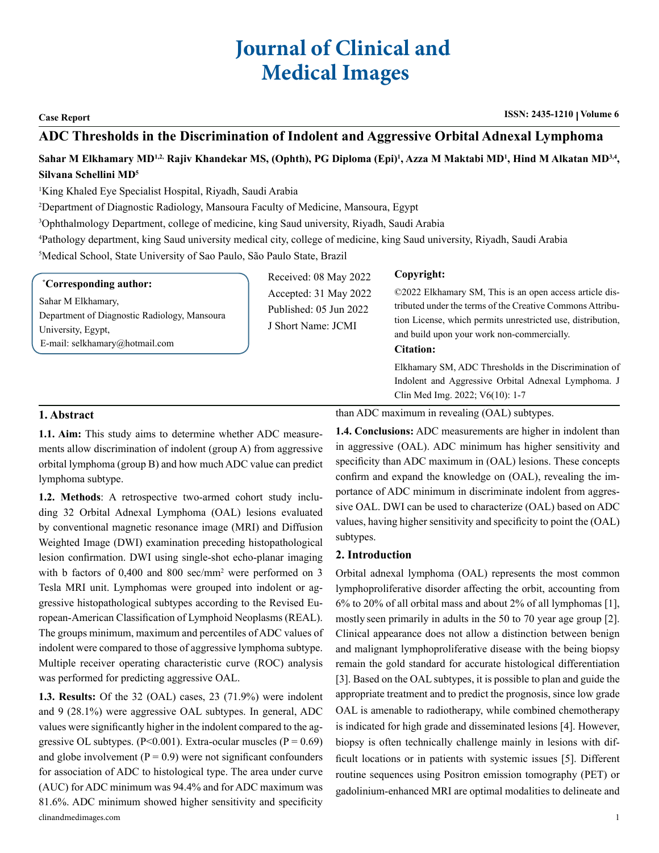# **Journal of Clinical and Medical Images**

# **Case Report ISSN: 2435-1210** | Volume 6

# **ADC Thresholds in the Discrimination of Indolent and Aggressive Orbital Adnexal Lymphoma**

# Sahar M Elkhamary MD<sup>1,2,</sup> Rajiv Khandekar MS, (Ophth), PG Diploma (Epi)<sup>1</sup>, Azza M Maktabi MD<sup>1</sup>, Hind M Alkatan MD<sup>3,4</sup>, **Silvana Schellini MD5**

1 King Khaled Eye Specialist Hospital, Riyadh, Saudi Arabia

2 Department of Diagnostic Radiology, Mansoura Faculty of Medicine, Mansoura, Egypt

3 Ophthalmology Department, college of medicine, king Saud university, Riyadh, Saudi Arabia

4 Pathology department, king Saud university medical city, college of medicine, king Saud university, Riyadh, Saudi Arabia

5 Medical School, State University of Sao Paulo, São Paulo State, Brazil

#### **\* Corresponding author:**

Sahar M Elkhamary, Department of Diagnostic Radiology, Mansoura University, Egypt, E-mail: [selkhamary@hotmail.com](mailto:selkhamary@hotmail.com)

Received: 08 May 2022 Accepted: 31 May 2022 Published: 05 Jun 2022 J Short Name: JCMI

#### **Copyright:**

©2022 Elkhamary SM, This is an open access article distributed under the terms of the Creative Commons Attribution License, which permits unrestricted use, distribution, and build upon your work non-commercially.

#### **Citation:**

Elkhamary SM, ADC Thresholds in the Discrimination of Indolent and Aggressive Orbital Adnexal Lymphoma. J Clin Med Img. 2022; V6(10): 1-7

# **1. Abstract**

**1.1. Aim:** This study aims to determine whether ADC measurements allow discrimination of indolent (group A) from aggressive orbital lymphoma (group B) and how much ADC value can predict lymphoma subtype.

**1.2. Methods**: A retrospective two-armed cohort study including 32 Orbital Adnexal Lymphoma (OAL) lesions evaluated by conventional magnetic resonance image (MRI) and Diffusion Weighted Image (DWI) examination preceding histopathological lesion confirmation. DWI using single-shot echo-planar imaging with b factors of 0,400 and 800 sec/mm<sup>2</sup> were performed on 3 Tesla MRI unit. Lymphomas were grouped into indolent or aggressive histopathological subtypes according to the Revised European-American Classification of Lymphoid Neoplasms (REAL). The groups minimum, maximum and percentiles of ADC values of indolent were compared to those of aggressive lymphoma subtype. Multiple receiver operating characteristic curve (ROC) analysis was performed for predicting aggressive OAL.

clinandmedimages.com 1 **1.3. Results:** Of the 32 (OAL) cases, 23 (71.9%) were indolent and 9 (28.1%) were aggressive OAL subtypes. In general, ADC values were significantly higher in the indolent compared to the aggressive OL subtypes. ( $P < 0.001$ ). Extra-ocular muscles ( $P = 0.69$ ) and globe involvement  $(P = 0.9)$  were not significant confounders for association of ADC to histological type. The area under curve (AUC) for ADC minimum was 94.4% and for ADC maximum was 81.6%. ADC minimum showed higher sensitivity and specificity

than ADC maximum in revealing (OAL) subtypes.

**1.4. Conclusions:** ADC measurements are higher in indolent than in aggressive (OAL). ADC minimum has higher sensitivity and specificity than ADC maximum in (OAL) lesions. These concepts confirm and expand the knowledge on (OAL), revealing the importance of ADC minimum in discriminate indolent from aggressive OAL. DWI can be used to characterize (OAL) based on ADC values, having higher sensitivity and specificity to point the (OAL) subtypes.

#### **2. Introduction**

Orbital adnexal lymphoma (OAL) represents the most common lymphoproliferative disorder affecting the orbit, accounting from 6% to 20% of all orbital mass and about 2% of all lymphomas [1], mostly seen primarily in adults in the 50 to 70 year age group [2]. Clinical appearance does not allow a distinction between benign and malignant lymphoproliferative disease with the being biopsy remain the gold standard for accurate histological differentiation [3]. Based on the OAL subtypes, it is possible to plan and guide the appropriate treatment and to predict the prognosis, since low grade OAL is amenable to radiotherapy, while combined chemotherapy is indicated for high grade and disseminated lesions [4]. However, biopsy is often technically challenge mainly in lesions with difficult locations or in patients with systemic issues [5]. Different routine sequences using Positron emission tomography (PET) or gadolinium-enhanced MRI are optimal modalities to delineate and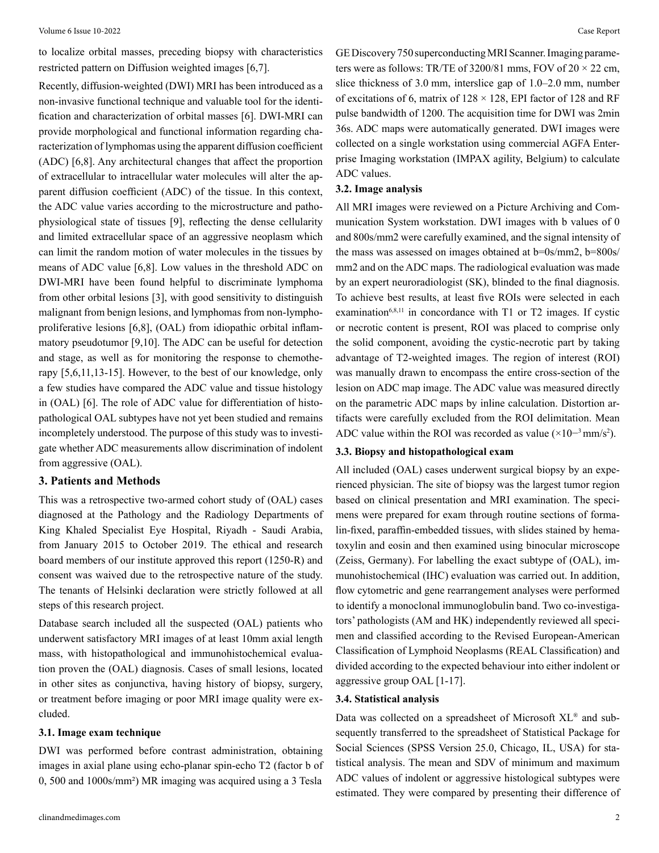to localize orbital masses, preceding biopsy with characteristics restricted pattern on Diffusion weighted images [6,7].

Recently, diffusion-weighted (DWI) MRI has been introduced as a non-invasive functional technique and valuable tool for the identification and characterization of orbital masses [6]. DWI-MRI can provide morphological and functional information regarding characterization of lymphomas using the apparent diffusion coefficient (ADC) [6,8]. Any architectural changes that affect the proportion of extracellular to intracellular water molecules will alter the apparent diffusion coefficient (ADC) of the tissue. In this context, the ADC value varies according to the microstructure and pathophysiological state of tissues [9], reflecting the dense cellularity and limited extracellular space of an aggressive neoplasm which can limit the random motion of water molecules in the tissues by means of ADC value [6,8]. Low values in the threshold ADC on DWI-MRI have been found helpful to discriminate lymphoma from other orbital lesions [3], with good sensitivity to distinguish malignant from benign lesions, and lymphomas from non-lymphoproliferative lesions [6,8], (OAL) from idiopathic orbital inflammatory pseudotumor [9,10]. The ADC can be useful for detection and stage, as well as for monitoring the response to chemotherapy [5,6,11,13-15]. However, to the best of our knowledge, only a few studies have compared the ADC value and tissue histology in (OAL) [6]. The role of ADC value for differentiation of histopathological OAL subtypes have not yet been studied and remains incompletely understood. The purpose of this study was to investigate whether ADC measurements allow discrimination of indolent from aggressive (OAL).

#### **3. Patients and Methods**

This was a retrospective two-armed cohort study of (OAL) cases diagnosed at the Pathology and the Radiology Departments of King Khaled Specialist Eye Hospital, Riyadh - Saudi Arabia, from January 2015 to October 2019. The ethical and research board members of our institute approved this report (1250-R) and consent was waived due to the retrospective nature of the study. The tenants of Helsinki declaration were strictly followed at all steps of this research project.

Database search included all the suspected (OAL) patients who underwent satisfactory MRI images of at least 10mm axial length mass, with histopathological and immunohistochemical evaluation proven the (OAL) diagnosis. Cases of small lesions, located in other sites as conjunctiva, having history of biopsy, surgery, or treatment before imaging or poor MRI image quality were excluded.

#### **3.1. Image exam technique**

DWI was performed before contrast administration, obtaining images in axial plane using echo-planar spin-echo T2 (factor b of 0, 500 and 1000s/mm²) MR imaging was acquired using a 3 Tesla

GE Discovery 750 superconducting MRI Scanner. Imaging parameters were as follows: TR/TE of 3200/81 mms, FOV of  $20 \times 22$  cm, slice thickness of 3.0 mm, interslice gap of 1.0–2.0 mm, number of excitations of 6, matrix of  $128 \times 128$ , EPI factor of 128 and RF pulse bandwidth of 1200. The acquisition time for DWI was 2min 36s. ADC maps were automatically generated. DWI images were collected on a single workstation using commercial AGFA Enterprise Imaging workstation (IMPAX agility, Belgium) to calculate ADC values.

#### **3.2. Image analysis**

All MRI images were reviewed on a Picture Archiving and Communication System workstation. DWI images with b values of 0 and 800s/mm2 were carefully examined, and the signal intensity of the mass was assessed on images obtained at b=0s/mm2, b=800s/ mm2 and on the ADC maps. The radiological evaluation was made by an expert neuroradiologist (SK), blinded to the final diagnosis. To achieve best results, at least five ROIs were selected in each examination<sup>6,8,11</sup> in concordance with T1 or T2 images. If cystic or necrotic content is present, ROI was placed to comprise only the solid component, avoiding the cystic-necrotic part by taking advantage of T2-weighted images. The region of interest (ROI) was manually drawn to encompass the entire cross-section of the lesion on ADC map image. The ADC value was measured directly on the parametric ADC maps by inline calculation. Distortion artifacts were carefully excluded from the ROI delimitation. Mean ADC value within the ROI was recorded as value  $(\times 10^{-3} \text{ mm/s}^2)$ .

### **3.3. Biopsy and histopathological exam**

All included (OAL) cases underwent surgical biopsy by an experienced physician. The site of biopsy was the largest tumor region based on clinical presentation and MRI examination. The specimens were prepared for exam through routine sections of formalin-fixed, paraffin-embedded tissues, with slides stained by hematoxylin and eosin and then examined using binocular microscope (Zeiss, Germany). For labelling the exact subtype of (OAL), immunohistochemical (IHC) evaluation was carried out. In addition, flow cytometric and gene rearrangement analyses were performed to identify a monoclonal immunoglobulin band. Two co-investigators' pathologists (AM and HK) independently reviewed all specimen and classified according to the Revised European-American Classification of Lymphoid Neoplasms (REAL Classification) and divided according to the expected behaviour into either indolent or aggressive group OAL [1-17].

#### **3.4. Statistical analysis**

Data was collected on a spreadsheet of Microsoft XL® and subsequently transferred to the spreadsheet of Statistical Package for Social Sciences (SPSS Version 25.0, Chicago, IL, USA) for statistical analysis. The mean and SDV of minimum and maximum ADC values of indolent or aggressive histological subtypes were estimated. They were compared by presenting their difference of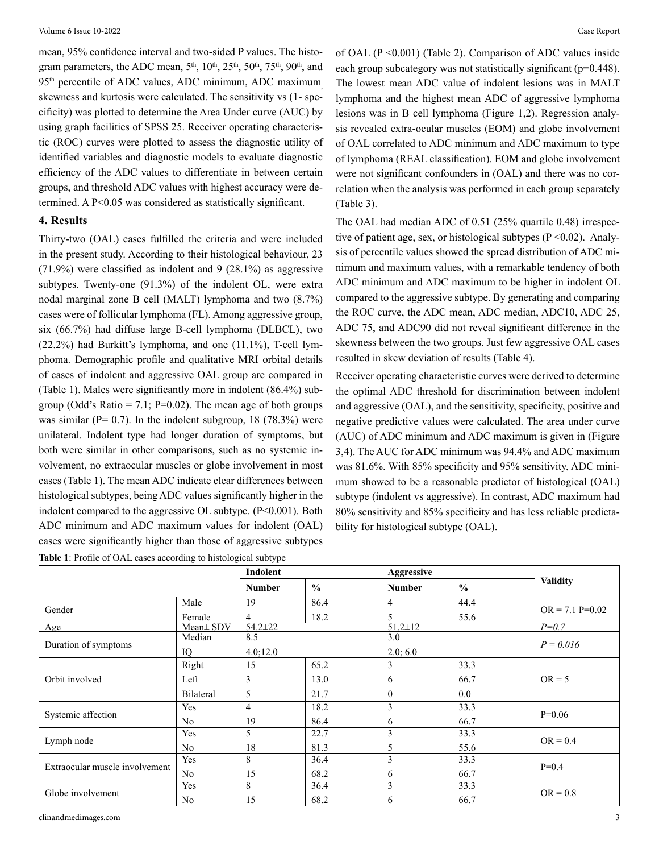mean, 95% confidence interval and two-sided P values. The histogram parameters, the ADC mean,  $5<sup>th</sup>$ ,  $10<sup>th</sup>$ ,  $25<sup>th</sup>$ ,  $50<sup>th</sup>$ ,  $75<sup>th</sup>$ ,  $90<sup>th</sup>$ , and 95<sup>th</sup> percentile of ADC values, ADC minimum, ADC maximum skewness and kurtosis-were calculated. The sensitivity vs  $(1 - s)$ cificity) was plotted to determine the Area Under curve (AUC) by using graph facilities of SPSS 25. Receiver operating characteristic (ROC) curves were plotted to assess the diagnostic utility of identified variables and diagnostic models to evaluate diagnostic efficiency of the ADC values to differentiate in between certain groups, and threshold ADC values with highest accuracy were determined. A P<0.05 was considered as statistically significant.

#### **4. Results**

Thirty-two (OAL) cases fulfilled the criteria and were included in the present study. According to their histological behaviour, 23 (71.9%) were classified as indolent and 9 (28.1%) as aggressive subtypes. Twenty-one (91.3%) of the indolent OL, were extra nodal marginal zone B cell (MALT) lymphoma and two (8.7%) cases were of follicular lymphoma (FL). Among aggressive group, six (66.7%) had diffuse large B-cell lymphoma (DLBCL), two (22.2%) had Burkitt's lymphoma, and one (11.1%), T-cell lymphoma. Demographic profile and qualitative MRI orbital details of cases of indolent and aggressive OAL group are compared in (Table 1). Males were significantly more in indolent (86.4%) subgroup (Odd's Ratio = 7.1; P=0.02). The mean age of both groups was similar ( $P = 0.7$ ). In the indolent subgroup, 18 (78.3%) were unilateral. Indolent type had longer duration of symptoms, but both were similar in other comparisons, such as no systemic involvement, no extraocular muscles or globe involvement in most cases (Table 1). The mean ADC indicate clear differences between histological subtypes, being ADC values significantly higher in the indolent compared to the aggressive OL subtype. (P<0.001). Both ADC minimum and ADC maximum values for indolent (OAL) cases were significantly higher than those of aggressive subtypes

| <b>Table 1:</b> Profile of OAL cases according to histological subtype |  |
|------------------------------------------------------------------------|--|
|------------------------------------------------------------------------|--|

of OAL (P <0.001) (Table 2). Comparison of ADC values inside each group subcategory was not statistically significant (p=0.448). The lowest mean ADC value of indolent lesions was in MALT lymphoma and the highest mean ADC of aggressive lymphoma lesions was in B cell lymphoma (Figure 1,2). Regression analysis revealed extra-ocular muscles (EOM) and globe involvement of OAL correlated to ADC minimum and ADC maximum to type of lymphoma (REAL classification). EOM and globe involvement were not significant confounders in (OAL) and there was no correlation when the analysis was performed in each group separately (Table 3).

The OAL had median ADC of 0.51 (25% quartile 0.48) irrespective of patient age, sex, or histological subtypes  $(P < 0.02)$ . Analysis of percentile values showed the spread distribution of ADC minimum and maximum values, with a remarkable tendency of both ADC minimum and ADC maximum to be higher in indolent OL compared to the aggressive subtype. By generating and comparing the ROC curve, the ADC mean, ADC median, ADC10, ADC 25, ADC 75, and ADC90 did not reveal significant difference in the skewness between the two groups. Just few aggressive OAL cases resulted in skew deviation of results (Table 4).

Receiver operating characteristic curves were derived to determine the optimal ADC threshold for discrimination between indolent and aggressive (OAL), and the sensitivity, specificity, positive and negative predictive values were calculated. The area under curve (AUC) of ADC minimum and ADC maximum is given in (Figure 3,4). The AUC for ADC minimum was 94.4% and ADC maximum was 81.6%. With 85% specificity and 95% sensitivity, ADC minimum showed to be a reasonable predictor of histological (OAL) subtype (indolent vs aggressive). In contrast, ADC maximum had 80% sensitivity and 85% specificity and has less reliable predictability for histological subtype (OAL).

|                                | Indolent       |                 |               | Aggressive      |               |                   |  |
|--------------------------------|----------------|-----------------|---------------|-----------------|---------------|-------------------|--|
|                                |                | <b>Number</b>   | $\frac{0}{0}$ | <b>Number</b>   | $\frac{0}{0}$ | <b>Validity</b>   |  |
| Gender                         | Male           | 19              | 86.4          | 4               | 44.4          | $OR = 7.1$ P=0.02 |  |
|                                | Female         | 4               | 18.2          | 5               | 55.6          |                   |  |
| Age                            | $Mean \pm SDV$ | $54.2 \pm 22$   |               | $51.2 \pm 12$   |               | $P=0.7$           |  |
| Duration of symptoms           | Median         | 8.5<br>4.0;12.0 |               | 3.0<br>2.0; 6.0 |               | $P = 0.016$       |  |
|                                | IQ             |                 |               |                 |               |                   |  |
| Orbit involved                 | Right          | 15              | 65.2          | 3               | 33.3          |                   |  |
|                                | Left           | 3               | 13.0          | 6               | 66.7          | $OR = 5$          |  |
|                                | Bilateral      | 5               | 21.7          | $\theta$        | 0.0           |                   |  |
|                                | Yes            | 4               | 18.2          | 3               | 33.3          | $P=0.06$          |  |
| Systemic affection             | No             | 19              | 86.4          | 6               | 66.7          |                   |  |
| Lymph node                     | Yes            | 5               | 22.7          | 3               | 33.3          | $OR = 0.4$        |  |
|                                | N <sub>0</sub> | 18              | 81.3          | 5               | 55.6          |                   |  |
| Extraocular muscle involvement | Yes            | 8               | 36.4          | 3               | 33.3          | $P=0.4$           |  |
|                                | N <sub>0</sub> | 15              | 68.2          | 6               | 66.7          |                   |  |
| Globe involvement              | Yes            | 8               | 36.4          | 3               | 33.3          | $OR = 0.8$        |  |
|                                | No             | 15              | 68.2          | 6               | 66.7          |                   |  |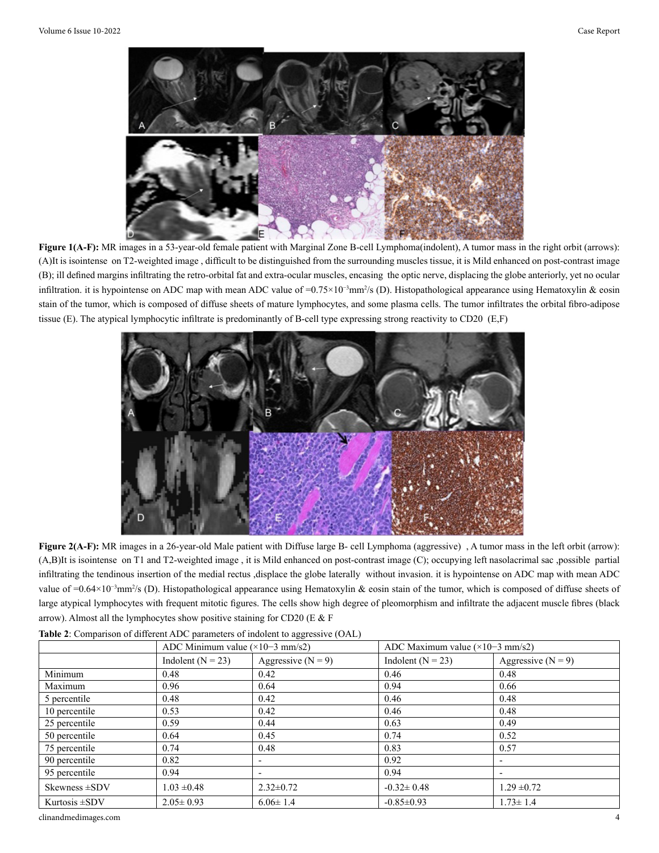

**Figure 1(A-F):** MR images in a 53-year-old female patient with Marginal Zone B-cell Lymphoma(indolent), A tumor mass in the right orbit (arrows): (A)It is isointense on T2-weighted image , difficult to be distinguished from the surrounding muscles tissue, it is Mild enhanced on post-contrast image (B); ill defined margins infiltrating the retro-orbital fat and extra-ocular muscles, encasing the optic nerve, displacing the globe anteriorly, yet no ocular infiltration. it is hypointense on ADC map with mean ADC value of =0.75×10−3mm2 /s (D). Histopathological appearance using Hematoxylin & eosin stain of the tumor, which is composed of diffuse sheets of mature lymphocytes, and some plasma cells. The tumor infiltrates the orbital fibro-adipose tissue (E). The atypical lymphocytic infiltrate is predominantly of B-cell type expressing strong reactivity to CD20 (E,F)



Figure 2(A-F): MR images in a 26-year-old Male patient with Diffuse large B- cell Lymphoma (aggressive), A tumor mass in the left orbit (arrow): (A,B)It is isointense on T1 and T2-weighted image , it is Mild enhanced on post-contrast image (C); occupying left nasolacrimal sac ,possible partial infiltrating the tendinous insertion of the medial rectus ,displace the globe laterally without invasion. it is hypointense on ADC map with mean ADC value of =0.64×10<sup>-3</sup>mm<sup>2</sup>/s (D). Histopathological appearance using Hematoxylin & eosin stain of the tumor, which is composed of diffuse sheets of large atypical lymphocytes with frequent mitotic figures. The cells show high degree of pleomorphism and infiltrate the adjacent muscle fibres (black arrow). Almost all the lymphocytes show positive staining for CD20 (E & F

|                    | ADC Minimum value $(\times 10-3$ mm/s2) |                      | ADC Maximum value $(\times 10-3$ mm/s2) |                      |  |
|--------------------|-----------------------------------------|----------------------|-----------------------------------------|----------------------|--|
|                    | Indolent ( $N = 23$ )                   | Aggressive $(N = 9)$ | Indolent ( $N = 23$ )                   | Aggressive $(N = 9)$ |  |
| Minimum            | 0.48                                    | 0.42                 | 0.46                                    | 0.48                 |  |
| Maximum            | 0.96                                    | 0.64                 | 0.94                                    | 0.66                 |  |
| 5 percentile       | 0.48                                    | 0.42                 | 0.46                                    | 0.48                 |  |
| 10 percentile      | 0.53                                    | 0.42                 | 0.46                                    | 0.48                 |  |
| 25 percentile      | 0.59                                    | 0.44                 | 0.63                                    | 0.49                 |  |
| 50 percentile      | 0.64                                    | 0.45                 | 0.74                                    | 0.52                 |  |
| 75 percentile      | 0.74                                    | 0.48                 | 0.83                                    | 0.57                 |  |
| 90 percentile      | 0.82                                    |                      | 0.92                                    |                      |  |
| 95 percentile      | 0.94                                    |                      | 0.94                                    |                      |  |
| Skewness $\pm$ SDV | $1.03 \pm 0.48$                         | $2.32 \pm 0.72$      | $-0.32 \pm 0.48$                        | $1.29 \pm 0.72$      |  |
| Kurtosis $\pm$ SDV | $2.05 \pm 0.93$                         | $6.06 \pm 1.4$       | $-0.85 \pm 0.93$                        | $1.73 \pm 1.4$       |  |

**Table 2**: Comparison of different ADC parameters of indolent to aggressive (OAL)

clinandmedimages.com 4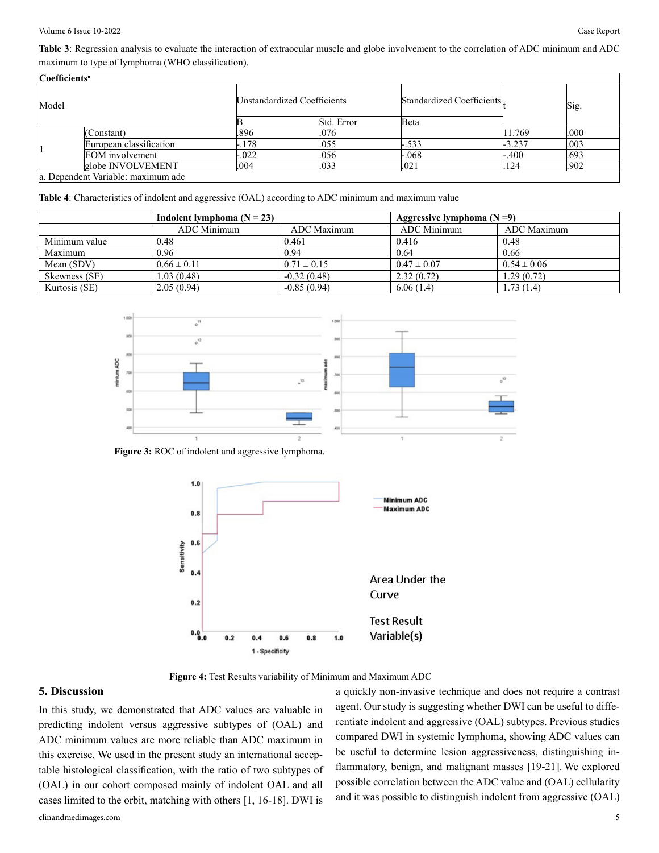**Table 3**: Regression analysis to evaluate the interaction of extraocular muscle and globe involvement to the correlation of ADC minimum and ADC maximum to type of lymphoma (WHO classification).

| Coefficients <sup>a</sup>          |                         |                                    |            |                           |          |      |  |
|------------------------------------|-------------------------|------------------------------------|------------|---------------------------|----------|------|--|
| Model                              |                         | <b>Unstandardized Coefficients</b> |            | Standardized Coefficients |          | Sig. |  |
|                                    |                         |                                    | Std. Error | Beta                      |          |      |  |
|                                    | (Constant)              | .896                               | .076       |                           | 11.769   | .000 |  |
|                                    | European classification | $-.178$                            | .055       | $-.533$                   | $-3.237$ | .003 |  |
|                                    | <b>EOM</b> involvement  | $-.022$                            | .056       | -.068                     | $-.400$  | .693 |  |
|                                    | globe INVOLVEMENT       | .004                               | .033       | .021                      | .124     | .902 |  |
| a. Dependent Variable: maximum adc |                         |                                    |            |                           |          |      |  |

**Table 4**: Characteristics of indolent and aggressive (OAL) according to ADC minimum and maximum value

|               | Indolent lymphoma $(N = 23)$ |                 | Aggressive lymphoma $(N = 9)$ |                 |  |
|---------------|------------------------------|-----------------|-------------------------------|-----------------|--|
|               | ADC Minimum                  | ADC Maximum     | ADC Minimum                   | ADC Maximum     |  |
| Minimum value | 0.48                         | 0.461           | 0.416                         | 0.48            |  |
| Maximum       | 0.96                         | 0.94            | 0.64                          | 0.66            |  |
| Mean (SDV)    | $0.66 \pm 0.11$              | $0.71 \pm 0.15$ | $0.47 \pm 0.07$               | $0.54 \pm 0.06$ |  |
| Skewness (SE) | 1.03 (0.48)                  | $-0.32(0.48)$   | 2.32(0.72)                    | 1.29(0.72)      |  |
| Kurtosis (SE) | 2.05(0.94)                   | $-0.85(0.94)$   | 6.06(1.4)                     | 1.73(1.4)       |  |



Figure 3: ROC of indolent and aggressive lymphoma.



**Figure 4:** Test Results variability of Minimum and Maximum ADC

#### **5. Discussion**

clinandmedimages.com 5 In this study, we demonstrated that ADC values are valuable in predicting indolent versus aggressive subtypes of (OAL) and ADC minimum values are more reliable than ADC maximum in this exercise. We used in the present study an international acceptable histological classification, with the ratio of two subtypes of (OAL) in our cohort composed mainly of indolent OAL and all cases limited to the orbit, matching with others [1, 16-18]. DWI is

a quickly non-invasive technique and does not require a contrast agent. Our study is suggesting whether DWI can be useful to differentiate indolent and aggressive (OAL) subtypes. Previous studies compared DWI in systemic lymphoma, showing ADC values can be useful to determine lesion aggressiveness, distinguishing inflammatory, benign, and malignant masses [19-21]. We explored possible correlation between the ADC value and (OAL) cellularity and it was possible to distinguish indolent from aggressive (OAL)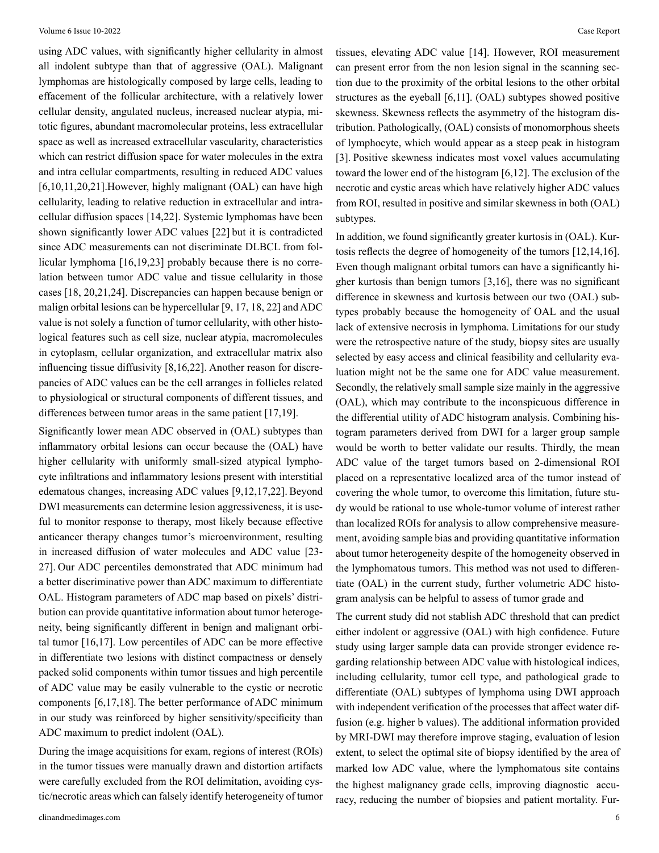using ADC values, with significantly higher cellularity in almost all indolent subtype than that of aggressive (OAL). Malignant lymphomas are histologically composed by large cells, leading to effacement of the follicular architecture, with a relatively lower cellular density, angulated nucleus, increased nuclear atypia, mitotic figures, abundant macromolecular proteins, less extracellular space as well as increased extracellular vascularity, characteristics which can restrict diffusion space for water molecules in the extra and intra cellular compartments, resulting in reduced ADC values [6,10,11,20,21].However, highly malignant (OAL) can have high cellularity, leading to relative reduction in extracellular and intracellular diffusion spaces [14,22]. Systemic lymphomas have been shown significantly lower ADC values [22] but it is contradicted since ADC measurements can not discriminate DLBCL from follicular lymphoma [16,19,23] probably because there is no correlation between tumor ADC value and tissue cellularity in those cases [18, 20,21,24]. Discrepancies can happen because benign or malign orbital lesions can be hypercellular [9, 17, 18, 22] and ADC value is not solely a function of tumor cellularity, with other histological features such as cell size, nuclear atypia, macromolecules in cytoplasm, cellular organization, and extracellular matrix also influencing tissue diffusivity [8,16,22]. Another reason for discrepancies of ADC values can be the cell arranges in follicles related to physiological or structural components of different tissues, and differences between tumor areas in the same patient [17,19].

Significantly lower mean ADC observed in (OAL) subtypes than inflammatory orbital lesions can occur because the (OAL) have higher cellularity with uniformly small-sized atypical lymphocyte infiltrations and inflammatory lesions present with interstitial edematous changes, increasing ADC values [9,12,17,22]. Beyond DWI measurements can determine lesion aggressiveness, it is useful to monitor response to therapy, most likely because effective anticancer therapy changes tumor's microenvironment, resulting in increased diffusion of water molecules and ADC value [23- 27]. Our ADC percentiles demonstrated that ADC minimum had a better discriminative power than ADC maximum to differentiate OAL. Histogram parameters of ADC map based on pixels' distribution can provide quantitative information about tumor heterogeneity, being significantly different in benign and malignant orbital tumor [16,17]. Low percentiles of ADC can be more effective in differentiate two lesions with distinct compactness or densely packed solid components within tumor tissues and high percentile of ADC value may be easily vulnerable to the cystic or necrotic components [6,17,18]. The better performance of ADC minimum in our study was reinforced by higher sensitivity/specificity than ADC maximum to predict indolent (OAL).

During the image acquisitions for exam, regions of interest (ROIs) in the tumor tissues were manually drawn and distortion artifacts were carefully excluded from the ROI delimitation, avoiding cystic/necrotic areas which can falsely identify heterogeneity of tumor

tissues, elevating ADC value [14]. However, ROI measurement can present error from the non lesion signal in the scanning section due to the proximity of the orbital lesions to the other orbital structures as the eyeball [6,11]. (OAL) subtypes showed positive skewness. Skewness reflects the asymmetry of the histogram distribution. Pathologically, (OAL) consists of monomorphous sheets of lymphocyte, which would appear as a steep peak in histogram [3]. Positive skewness indicates most voxel values accumulating toward the lower end of the histogram [6,12]. The exclusion of the necrotic and cystic areas which have relatively higher ADC values from ROI, resulted in positive and similar skewness in both (OAL) subtypes.

In addition, we found significantly greater kurtosis in (OAL). Kurtosis reflects the degree of homogeneity of the tumors [12,14,16]. Even though malignant orbital tumors can have a significantly higher kurtosis than benign tumors [3,16], there was no significant difference in skewness and kurtosis between our two (OAL) subtypes probably because the homogeneity of OAL and the usual lack of extensive necrosis in lymphoma. Limitations for our study were the retrospective nature of the study, biopsy sites are usually selected by easy access and clinical feasibility and cellularity evaluation might not be the same one for ADC value measurement. Secondly, the relatively small sample size mainly in the aggressive (OAL), which may contribute to the inconspicuous difference in the differential utility of ADC histogram analysis. Combining histogram parameters derived from DWI for a larger group sample would be worth to better validate our results. Thirdly, the mean ADC value of the target tumors based on 2-dimensional ROI placed on a representative localized area of the tumor instead of covering the whole tumor, to overcome this limitation, future study would be rational to use whole-tumor volume of interest rather than localized ROIs for analysis to allow comprehensive measurement, avoiding sample bias and providing quantitative information about tumor heterogeneity despite of the homogeneity observed in the lymphomatous tumors. This method was not used to differentiate (OAL) in the current study, further volumetric ADC histogram analysis can be helpful to assess of tumor grade and

The current study did not stablish ADC threshold that can predict either indolent or aggressive (OAL) with high confidence. Future study using larger sample data can provide stronger evidence regarding relationship between ADC value with histological indices, including cellularity, tumor cell type, and pathological grade to differentiate (OAL) subtypes of lymphoma using DWI approach with independent verification of the processes that affect water diffusion (e.g. higher b values). The additional information provided by MRI-DWI may therefore improve staging, evaluation of lesion extent, to select the optimal site of biopsy identified by the area of marked low ADC value, where the lymphomatous site contains the highest malignancy grade cells, improving diagnostic accuracy, reducing the number of biopsies and patient mortality. Fur